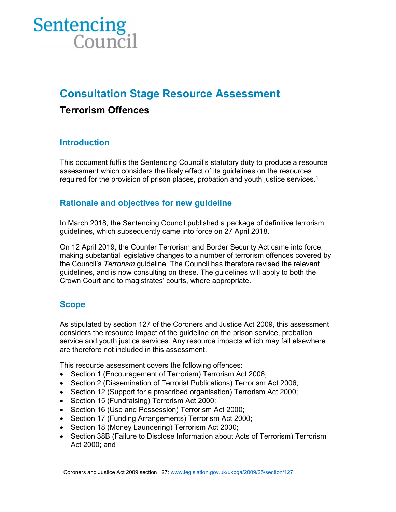# **Sentencing**<br>Counci

# Consultation Stage Resource Assessment

# Terrorism Offences

# **Introduction**

This document fulfils the Sentencing Council's statutory duty to produce a resource assessment which considers the likely effect of its guidelines on the resources required for the provision of prison places, probation and youth justice services.<sup>1</sup>

# Rationale and objectives for new guideline

In March 2018, the Sentencing Council published a package of definitive terrorism guidelines, which subsequently came into force on 27 April 2018.

On 12 April 2019, the Counter Terrorism and Border Security Act came into force, making substantial legislative changes to a number of terrorism offences covered by the Council's Terrorism guideline. The Council has therefore revised the relevant guidelines, and is now consulting on these. The guidelines will apply to both the Crown Court and to magistrates' courts, where appropriate.

# Scope

As stipulated by section 127 of the Coroners and Justice Act 2009, this assessment considers the resource impact of the guideline on the prison service, probation service and youth justice services. Any resource impacts which may fall elsewhere are therefore not included in this assessment.

This resource assessment covers the following offences:

- Section 1 (Encouragement of Terrorism) Terrorism Act 2006;
- Section 2 (Dissemination of Terrorist Publications) Terrorism Act 2006;
- Section 12 (Support for a proscribed organisation) Terrorism Act 2000;
- Section 15 (Fundraising) Terrorism Act 2000;
- Section 16 (Use and Possession) Terrorism Act 2000;
- Section 17 (Funding Arrangements) Terrorism Act 2000;
- Section 18 (Money Laundering) Terrorism Act 2000;
- Section 38B (Failure to Disclose Information about Acts of Terrorism) Terrorism Act 2000; and

 <sup>1</sup> Coroners and Justice Act 2009 section 127: www.legislation.gov.uk/ukpga/2009/25/section/127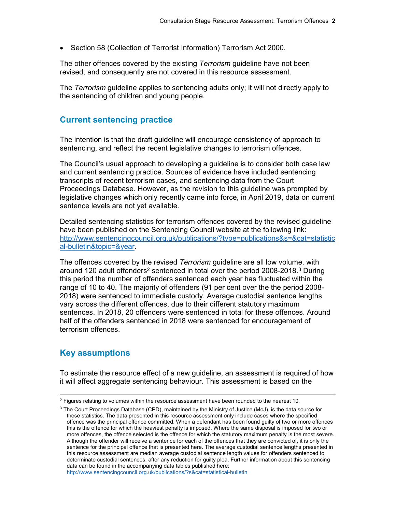• Section 58 (Collection of Terrorist Information) Terrorism Act 2000.

The other offences covered by the existing Terrorism guideline have not been revised, and consequently are not covered in this resource assessment.

The Terrorism guideline applies to sentencing adults only; it will not directly apply to the sentencing of children and young people.

#### Current sentencing practice

The intention is that the draft guideline will encourage consistency of approach to sentencing, and reflect the recent legislative changes to terrorism offences.

The Council's usual approach to developing a guideline is to consider both case law and current sentencing practice. Sources of evidence have included sentencing transcripts of recent terrorism cases, and sentencing data from the Court Proceedings Database. However, as the revision to this guideline was prompted by legislative changes which only recently came into force, in April 2019, data on current sentence levels are not yet available.

Detailed sentencing statistics for terrorism offences covered by the revised guideline have been published on the Sentencing Council website at the following link: http://www.sentencingcouncil.org.uk/publications/?type=publications&s=&cat=statistic al-bulletin&topic=&year.

The offences covered by the revised Terrorism guideline are all low volume, with around 120 adult offenders<sup>2</sup> sentenced in total over the period 2008-2018.<sup>3</sup> During this period the number of offenders sentenced each year has fluctuated within the range of 10 to 40. The majority of offenders (91 per cent over the the period 2008- 2018) were sentenced to immediate custody. Average custodial sentence lengths vary across the different offences, due to their different statutory maximum sentences. In 2018, 20 offenders were sentenced in total for these offences. Around half of the offenders sentenced in 2018 were sentenced for encouragement of terrorism offences.

# Key assumptions

 $\overline{a}$ 

To estimate the resource effect of a new guideline, an assessment is required of how it will affect aggregate sentencing behaviour. This assessment is based on the

 $^2$  Figures relating to volumes within the resource assessment have been rounded to the nearest 10.

 $3$  The Court Proceedings Database (CPD), maintained by the Ministry of Justice (MoJ), is the data source for these statistics. The data presented in this resource assessment only include cases where the specified offence was the principal offence committed. When a defendant has been found guilty of two or more offences this is the offence for which the heaviest penalty is imposed. Where the same disposal is imposed for two or more offences, the offence selected is the offence for which the statutory maximum penalty is the most severe. Although the offender will receive a sentence for each of the offences that they are convicted of, it is only the sentence for the principal offence that is presented here. The average custodial sentence lengths presented in this resource assessment are median average custodial sentence length values for offenders sentenced to determinate custodial sentences, after any reduction for guilty plea. Further information about this sentencing data can be found in the accompanying data tables published here: http://www.sentencingcouncil.org.uk/publications/?s&cat=statistical-bulletin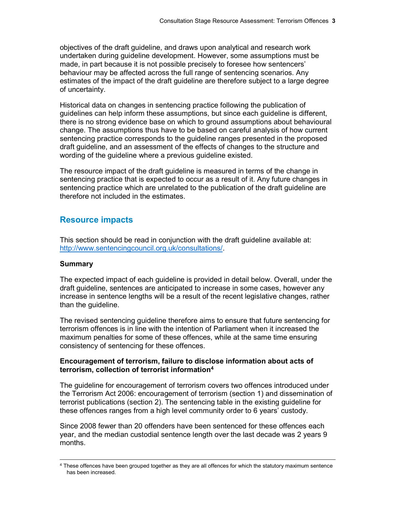objectives of the draft guideline, and draws upon analytical and research work undertaken during guideline development. However, some assumptions must be made, in part because it is not possible precisely to foresee how sentencers' behaviour may be affected across the full range of sentencing scenarios. Any estimates of the impact of the draft guideline are therefore subject to a large degree of uncertainty.

Historical data on changes in sentencing practice following the publication of guidelines can help inform these assumptions, but since each guideline is different, there is no strong evidence base on which to ground assumptions about behavioural change. The assumptions thus have to be based on careful analysis of how current sentencing practice corresponds to the guideline ranges presented in the proposed draft guideline, and an assessment of the effects of changes to the structure and wording of the guideline where a previous guideline existed.

The resource impact of the draft guideline is measured in terms of the change in sentencing practice that is expected to occur as a result of it. Any future changes in sentencing practice which are unrelated to the publication of the draft guideline are therefore not included in the estimates.

#### Resource impacts

This section should be read in conjunction with the draft guideline available at: http://www.sentencingcouncil.org.uk/consultations/.

#### Summary

 $\overline{a}$ 

The expected impact of each guideline is provided in detail below. Overall, under the draft guideline, sentences are anticipated to increase in some cases, however any increase in sentence lengths will be a result of the recent legislative changes, rather than the guideline.

The revised sentencing guideline therefore aims to ensure that future sentencing for terrorism offences is in line with the intention of Parliament when it increased the maximum penalties for some of these offences, while at the same time ensuring consistency of sentencing for these offences.

#### Encouragement of terrorism, failure to disclose information about acts of terrorism, collection of terrorist information<sup>4</sup>

The guideline for encouragement of terrorism covers two offences introduced under the Terrorism Act 2006: encouragement of terrorism (section 1) and dissemination of terrorist publications (section 2). The sentencing table in the existing guideline for these offences ranges from a high level community order to 6 years' custody.

Since 2008 fewer than 20 offenders have been sentenced for these offences each year, and the median custodial sentence length over the last decade was 2 years 9 months.

<sup>4</sup> These offences have been grouped together as they are all offences for which the statutory maximum sentence has been increased.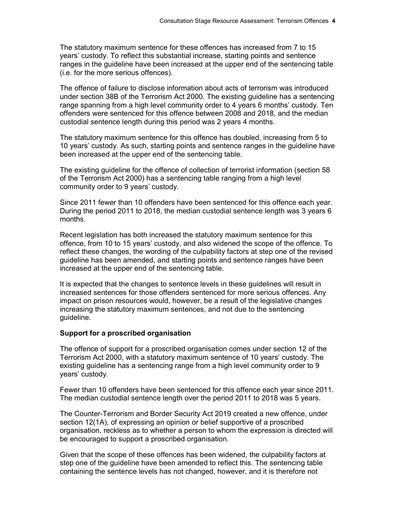The statutory maximum sentence for these offences has increased from 7 to 15 years' custody. To reflect this substantial increase, starting points and sentence ranges in the guideline have been increased at the upper end of the sentencing table (i.e. for the more serious offences).

The offence of failure to disclose information about acts of terrorism was introduced under section 38B of the Terrorism Act 2000. The existing guideline has a sentencing range spanning from a high level community order to 4 years 6 months' custody. Ten offenders were sentenced for this offence between 2008 and 2018, and the median custodial sentence length during this period was 2 years 4 months.

The statutory maximum sentence for this offence has doubled, increasing from 5 to 10 years' custody. As such, starting points and sentence ranges in the guideline have been increased at the upper end of the sentencing table.

The existing guideline for the offence of collection of terrorist information (section 58 of the Terrorism Act 2000) has a sentencing table ranging from a high level community order to 9 years' custody.

Since 2011 fewer than 10 offenders have been sentenced for this offence each year. During the period 2011 to 2018, the median custodial sentence length was 3 years 6 months.

Recent legislation has both increased the statutory maximum sentence for this offence, from 10 to 15 years' custody, and also widened the scope of the offence. To reflect these changes, the wording of the culpability factors at step one of the revised guideline has been amended, and starting points and sentence ranges have been increased at the upper end of the sentencing table.

It is expected that the changes to sentence levels in these guidelines will result in increased sentences for those offenders sentenced for more serious offences. Any impact on prison resources would, however, be a result of the legislative changes increasing the statutory maximum sentences, and not due to the sentencing guideline.

#### Support for a proscribed organisation

The offence of support for a proscribed organisation comes under section 12 of the Terrorism Act 2000, with a statutory maximum sentence of 10 years' custody. The existing guideline has a sentencing range from a high level community order to 9 years' custody.

Fewer than 10 offenders have been sentenced for this offence each year since 2011. The median custodial sentence length over the period 2011 to 2018 was 5 years.

The Counter-Terrorism and Border Security Act 2019 created a new offence, under section 12(1A), of expressing an opinion or belief supportive of a proscribed organisation, reckless as to whether a person to whom the expression is directed will be encouraged to support a proscribed organisation.

Given that the scope of these offences has been widened, the culpability factors at step one of the guideline have been amended to reflect this. The sentencing table containing the sentence levels has not changed, however, and it is therefore not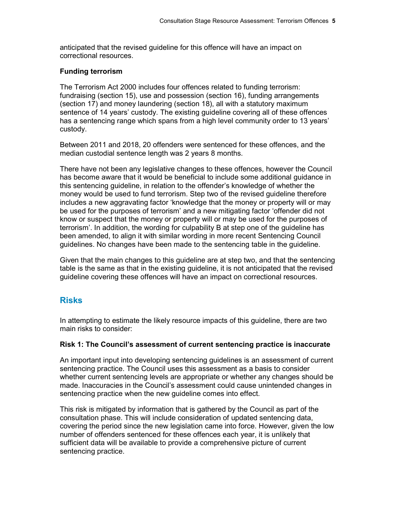anticipated that the revised guideline for this offence will have an impact on correctional resources.

#### Funding terrorism

The Terrorism Act 2000 includes four offences related to funding terrorism: fundraising (section 15), use and possession (section 16), funding arrangements (section 17) and money laundering (section 18), all with a statutory maximum sentence of 14 years' custody. The existing guideline covering all of these offences has a sentencing range which spans from a high level community order to 13 years' custody.

Between 2011 and 2018, 20 offenders were sentenced for these offences, and the median custodial sentence length was 2 years 8 months.

There have not been any legislative changes to these offences, however the Council has become aware that it would be beneficial to include some additional guidance in this sentencing guideline, in relation to the offender's knowledge of whether the money would be used to fund terrorism. Step two of the revised guideline therefore includes a new aggravating factor 'knowledge that the money or property will or may be used for the purposes of terrorism' and a new mitigating factor 'offender did not know or suspect that the money or property will or may be used for the purposes of terrorism'. In addition, the wording for culpability B at step one of the guideline has been amended, to align it with similar wording in more recent Sentencing Council guidelines. No changes have been made to the sentencing table in the guideline.

Given that the main changes to this guideline are at step two, and that the sentencing table is the same as that in the existing guideline, it is not anticipated that the revised guideline covering these offences will have an impact on correctional resources.

# Risks

In attempting to estimate the likely resource impacts of this guideline, there are two main risks to consider:

#### Risk 1: The Council's assessment of current sentencing practice is inaccurate

An important input into developing sentencing guidelines is an assessment of current sentencing practice. The Council uses this assessment as a basis to consider whether current sentencing levels are appropriate or whether any changes should be made. Inaccuracies in the Council's assessment could cause unintended changes in sentencing practice when the new guideline comes into effect.

This risk is mitigated by information that is gathered by the Council as part of the consultation phase. This will include consideration of updated sentencing data, covering the period since the new legislation came into force. However, given the low number of offenders sentenced for these offences each year, it is unlikely that sufficient data will be available to provide a comprehensive picture of current sentencing practice.